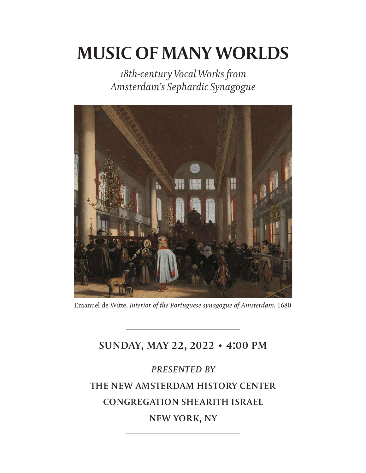# **MUSIC OF MANY WORLDS**

*18th-century Vocal Works from Amsterdam's Sephardic Synagogue*



Emanuel de Witte, *Interior of the Portuguese synagogue of Amsterdam*, 1680

## sunday, may 22, 2022 **•** 4:00 pm

*presented by* the new amsterdam history center congregation shearith israel new york, ny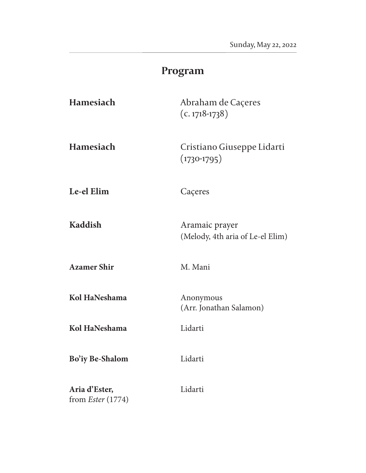| Program                              |                                                    |
|--------------------------------------|----------------------------------------------------|
| <b>Hamesiach</b>                     | Abraham de Caçeres<br>$(c.1718-1738)$              |
| <b>Hamesiach</b>                     | Cristiano Giuseppe Lidarti<br>$(1730 - 1795)$      |
| Le-el Elim                           | Caçeres                                            |
| Kaddish                              | Aramaic prayer<br>(Melody, 4th aria of Le-el Elim) |
| <b>Azamer Shir</b>                   | M. Mani                                            |
| Kol HaNeshama                        | Anonymous<br>(Arr. Jonathan Salamon)               |
| Kol HaNeshama                        | Lidarti                                            |
| Bo'iy Be-Shalom                      | Lidarti                                            |
| Aria d'Ester,<br>from Ester $(1774)$ | Lidarti                                            |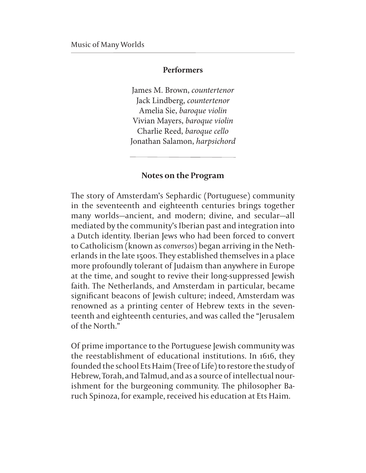#### **Performers**

James M. Brown, *countertenor* Jack Lindberg, *countertenor* Amelia Sie, *baroque violin* Vivian Mayers, *baroque violin* Charlie Reed, *baroque cello* Jonathan Salamon, *harpsichord*

#### **Notes on the Program**

The story of Amsterdam's Sephardic (Portuguese) community in the seventeenth and eighteenth centuries brings together many worlds—ancient, and modern; divine, and secular—all mediated by the community's Iberian past and integration into a Dutch identity. Iberian Jews who had been forced to convert to Catholicism (known as *conversos*) began arriving in the Netherlands in the late 1500s. They established themselves in a place more profoundly tolerant of Judaism than anywhere in Europe at the time, and sought to revive their long-suppressed Jewish faith. The Netherlands, and Amsterdam in particular, became significant beacons of Jewish culture; indeed, Amsterdam was renowned as a printing center of Hebrew texts in the seventeenth and eighteenth centuries, and was called the "Jerusalem of the North."

Of prime importance to the Portuguese Jewish community was the reestablishment of educational institutions. In 1616, they founded the school Ets Haim (Tree of Life) to restore the study of Hebrew, Torah, and Talmud, and as a source of intellectual nourishment for the burgeoning community. The philosopher Baruch Spinoza, for example, received his education at Ets Haim.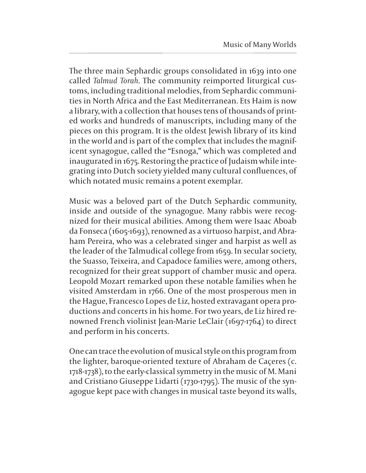The three main Sephardic groups consolidated in 1639 into one called *Talmud Torah*. The community reimported liturgical customs, including traditional melodies, from Sephardic communities in North Africa and the East Mediterranean. Ets Haim is now a library, with a collection that houses tens of thousands of printed works and hundreds of manuscripts, including many of the pieces on this program. It is the oldest Jewish library of its kind in the world and is part of the complex that includes the magnificent synagogue, called the "Esnoga," which was completed and inaugurated in 1675. Restoring the practice of Judaism while integrating into Dutch society yielded many cultural confluences, of which notated music remains a potent exemplar.

Music was a beloved part of the Dutch Sephardic community, inside and outside of the synagogue. Many rabbis were recognized for their musical abilities. Among them were Isaac Aboab da Fonseca (1605-1693), renowned as a virtuoso harpist, and Abraham Pereira, who was a celebrated singer and harpist as well as the leader of the Talmudical college from 1659. In secular society, the Suasso, Teixeira, and Capadoce families were, among others, recognized for their great support of chamber music and opera. Leopold Mozart remarked upon these notable families when he visited Amsterdam in 1766. One of the most prosperous men in the Hague, Francesco Lopes de Liz, hosted extravagant opera productions and concerts in his home. For two years, de Liz hired renowned French violinist Jean-Marie LeClair (1697-1764) to direct and perform in his concerts.

One can trace the evolution of musical style on this program from the lighter, baroque-oriented texture of Abraham de Caçeres (c. 1718-1738), to the early-classical symmetry in the music of M. Mani and Cristiano Giuseppe Lidarti (1730-1795). The music of the synagogue kept pace with changes in musical taste beyond its walls,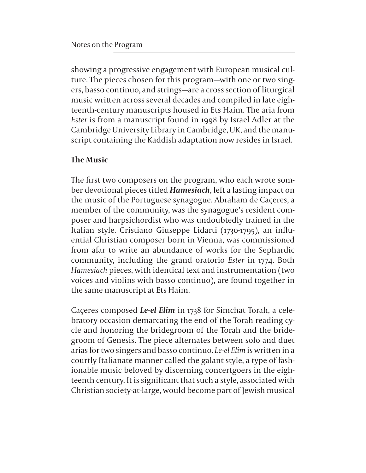showing a progressive engagement with European musical culture. The pieces chosen for this program—with one or two singers, basso continuo, and strings—are a cross section of liturgical music written across several decades and compiled in late eighteenth-century manuscripts housed in Ets Haim. The aria from *Ester* is from a manuscript found in 1998 by Israel Adler at the Cambridge University Library in Cambridge, UK, and the manuscript containing the Kaddish adaptation now resides in Israel.

#### **The Music**

The first two composers on the program, who each wrote somber devotional pieces titled *Hamesiach*, left a lasting impact on the music of the Portuguese synagogue. Abraham de Caçeres, a member of the community, was the synagogue's resident composer and harpsichordist who was undoubtedly trained in the Italian style. Cristiano Giuseppe Lidarti (1730-1795), an influential Christian composer born in Vienna, was commissioned from afar to write an abundance of works for the Sephardic community, including the grand oratorio *Ester* in 1774. Both *Hamesiach* pieces, with identical text and instrumentation (two voices and violins with basso continuo), are found together in the same manuscript at Ets Haim.

Caçeres composed *Le-el Elim* in 1738 for Simchat Torah, a celebratory occasion demarcating the end of the Torah reading cycle and honoring the bridegroom of the Torah and the bridegroom of Genesis. The piece alternates between solo and duet arias for two singers and basso continuo. Le-el Elim is written in a courtly Italianate manner called the galant style, a type of fashionable music beloved by discerning concertgoers in the eighteenth century. It is significant that such a style, associated with Christian society-at-large, would become part of Jewish musical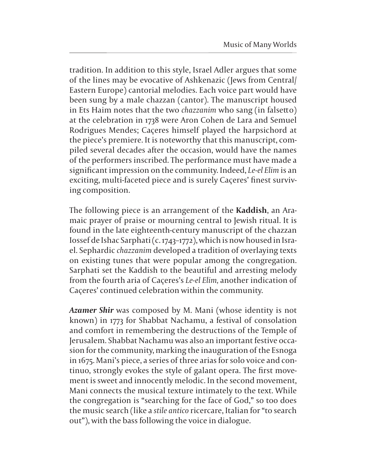tradition. In addition to this style, Israel Adler argues that some of the lines may be evocative of Ashkenazic (Jews from Central/ Eastern Europe) cantorial melodies. Each voice part would have been sung by a male chazzan (cantor). The manuscript housed in Ets Haim notes that the two *chazzanim* who sang (in falsetto) at the celebration in 1738 were Aron Cohen de Lara and Semuel Rodrigues Mendes; Caçeres himself played the harpsichord at the piece's premiere. It is noteworthy that this manuscript, compiled several decades after the occasion, would have the names of the performers inscribed. The performance must have made a significant impression on the community. Indeed, *Le-el Elim* is an exciting, multi-faceted piece and is surely Caçeres' finest surviving composition.

The following piece is an arrangement of the **Kaddish**, an Aramaic prayer of praise or mourning central to Jewish ritual. It is found in the late eighteenth-century manuscript of the chazzan Iossef de Ishac Sarphati (c. 1743–1772), which is now housed in Israel. Sephardic *chazzanim* developed a tradition of overlaying texts on existing tunes that were popular among the congregation. Sarphati set the Kaddish to the beautiful and arresting melody from the fourth aria of Caçeres's *Le-el Elim,* another indication of Caçeres' continued celebration within the community.

*Azamer Shir* was composed by M. Mani (whose identity is not known) in 1773 for Shabbat Nachamu, a festival of consolation and comfort in remembering the destructions of the Temple of Jerusalem. Shabbat Nachamu was also an important festive occasion for the community, marking the inauguration of the Esnoga in 1675. Mani's piece, a series of three arias for solo voice and continuo, strongly evokes the style of galant opera. The first movement is sweet and innocently melodic. In the second movement, Mani connects the musical texture intimately to the text. While the congregation is "searching for the face of God," so too does the music search (like a *stile antico* ricercare, Italian for "to search out"), with the bass following the voice in dialogue.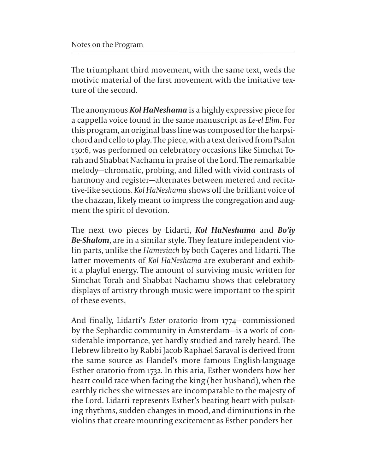The triumphant third movement, with the same text, weds the motivic material of the first movement with the imitative texture of the second.

The anonymous *Kol HaNeshama* is a highly expressive piece for a cappella voice found in the same manuscript as *Le-el Elim*. For this program, an original bass line was composed for the harpsichord and cello to play. The piece, with a text derived from Psalm 150:6, was performed on celebratory occasions like Simchat Torah and Shabbat Nachamu in praise of the Lord. The remarkable melody—chromatic, probing, and filled with vivid contrasts of harmony and register—alternates between metered and recitative-like sections. *Kol HaNeshama* shows off the brilliant voice of the chazzan, likely meant to impress the congregation and augment the spirit of devotion.

The next two pieces by Lidarti, *Kol HaNeshama* and *Bo'iy Be-Shalom*, are in a similar style. They feature independent violin parts, unlike the *Hamesiach* by both Caçeres and Lidarti. The latter movements of *Kol HaNeshama* are exuberant and exhibit a playful energy. The amount of surviving music written for Simchat Torah and Shabbat Nachamu shows that celebratory displays of artistry through music were important to the spirit of these events.

And finally, Lidarti's *Ester* oratorio from 1774—commissioned by the Sephardic community in Amsterdam—is a work of considerable importance, yet hardly studied and rarely heard. The Hebrew libretto by Rabbi Jacob Raphael Saraval is derived from the same source as Handel's more famous English-language Esther oratorio from 1732. In this aria, Esther wonders how her heart could race when facing the king (her husband), when the earthly riches she witnesses are incomparable to the majesty of the Lord. Lidarti represents Esther's beating heart with pulsating rhythms, sudden changes in mood, and diminutions in the violins that create mounting excitement as Esther ponders her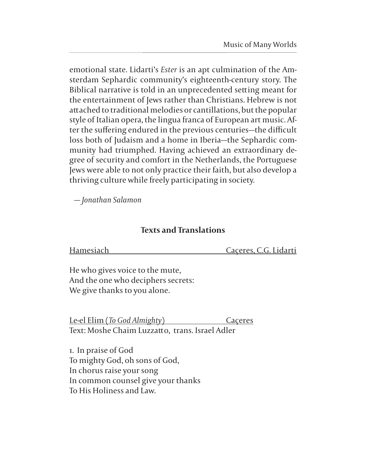emotional state. Lidarti's *Ester* is an apt culmination of the Amsterdam Sephardic community's eighteenth-century story. The Biblical narrative is told in an unprecedented setting meant for the entertainment of Jews rather than Christians. Hebrew is not attached to traditional melodies or cantillations, but the popular style of Italian opera, the lingua franca of European art music. After the suffering endured in the previous centuries—the difficult loss both of Judaism and a home in Iberia—the Sephardic community had triumphed. Having achieved an extraordinary degree of security and comfort in the Netherlands, the Portuguese Jews were able to not only practice their faith, but also develop a thriving culture while freely participating in society.

 *— Jonathan Salamon* 

#### **Texts and Translations**

Hamesiach Caçeres, C.G. Lidarti

He who gives voice to the mute, And the one who deciphers secrets: We give thanks to you alone.

Le-el Elim (*To God Almighty*) Caçeres Text: Moshe Chaim Luzzatto, trans. Israel Adler

1. In praise of God To mighty God, oh sons of God, In chorus raise your song In common counsel give your thanks To His Holiness and Law.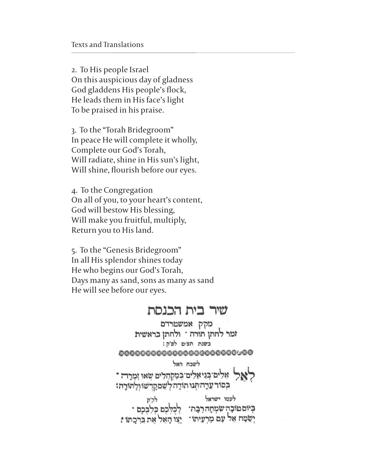2. To His people Israel On this auspicious day of gladness God gladdens His people's flock, He leads them in His face's light To be praised in his praise.

3. To the "Torah Bridegroom" In peace He will complete it wholly, Complete our God's Torah, Will radiate, shine in His sun's light, Will shine, flourish before our eyes.

4. To the Congregation On all of you, to your heart's content, God will bestow His blessing, Will make you fruitful, multiply, Return you to His land.

5. To the "Genesis Bridegroom" In all His splendor shines today He who begins our God's Torah, Days many as sand, sons as many as sand He will see before our eyes.

### שיר בית הכנסת

מקיק אמשמרדם זמר להתן תורה ' ולהתן בראשית בשנת תציט לפיק: \*\*\*\*\*\*\*\*\*\*\*\*\*\*\*\*\*\*\*\*\*\*\*\* לשכח האל לְאֱלִ אֵלִים בְּנִיאֵלִים בְּמַקְהָלִים שְׁאוּ זִמְרָה \* בסור ערה תגו תורה לשםקרשו ולהורה: לעמו ישראל לקיק<br>בְּיוֹם טוֹבָה שִׂמְחָה רַבָּה · לְכְלְכֶם בְּלִבְכֶם ·<br>יְשֵׂמַח אֵל עַם טַרְעִיתוֹ · יְצֵו הָאֵל אֶת בִּרְכַּתוֹ יָ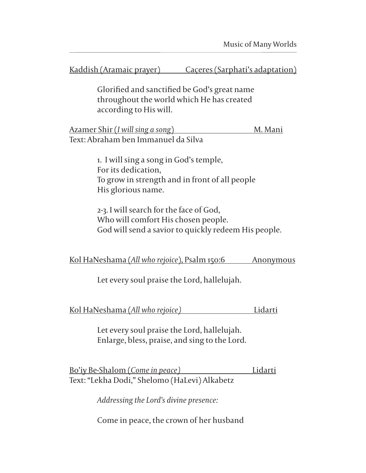Kaddish (Aramaic prayer) Caçeres (Sarphati's adaptation)

Glorified and sanctified be God's great name throughout the world which He has created according to His will.

Azamer Shir (*I will sing a song*) M. Mani Text: Abraham ben Immanuel da Silva

> 1. I will sing a song in God's temple, For its dedication, To grow in strength and in front of all people His glorious name.

2-3. I will search for the face of God, Who will comfort His chosen people. God will send a savior to quickly redeem His people.

Kol HaNeshama (*All who rejoice*), Psalm 150:6 Anonymous

Let every soul praise the Lord, hallelujah.

Kol HaNeshama (*All who rejoice)* Lidarti

Let every soul praise the Lord, hallelujah. Enlarge, bless, praise, and sing to the Lord.

Bo'iy Be-Shalom (*Come in peace)* Lidarti Text: "Lekha Dodi," Shelomo (HaLevi) Alkabetz

*Addressing the Lord's divine presence:*

Come in peace, the crown of her husband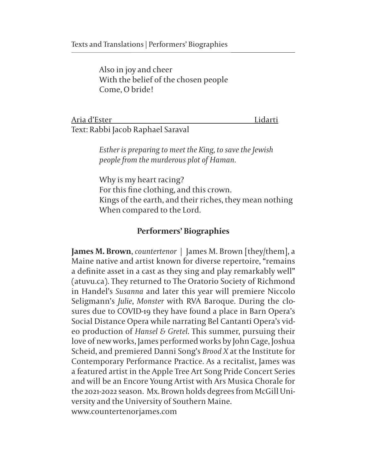Also in joy and cheer With the belief of the chosen people Come, O bride!

Aria d'Ester Lidarti Text: Rabbi Jacob Raphael Saraval

> *Esther is preparing to meet the King, to save the Jewish people from the murderous plot of Haman.*

Why is my heart racing? For this fine clothing, and this crown. Kings of the earth, and their riches, they mean nothing When compared to the Lord.

#### **Performers' Biographies**

**James M. Brown**, *countertenor* | James M. Brown [they/them], a Maine native and artist known for diverse repertoire, "remains a definite asset in a cast as they sing and play remarkably well" (atuvu.ca). They returned to The Oratorio Society of Richmond in Handel's *Susanna* and later this year will premiere Niccolo Seligmann's *Julie*, *Monster* with RVA Baroque. During the closures due to COVID-19 they have found a place in Barn Opera's Social Distance Opera while narrating Bel Cantanti Opera's video production of *Hansel & Gretel*. This summer, pursuing their love of new works, James performed works by John Cage, Joshua Scheid, and premiered Danni Song's *Brood X* at the Institute for Contemporary Performance Practice. As a recitalist, James was a featured artist in the Apple Tree Art Song Pride Concert Series and will be an Encore Young Artist with Ars Musica Chorale for the 2021-2022 season. Mx. Brown holds degrees from McGill University and the University of Southern Maine. www.countertenorjames.com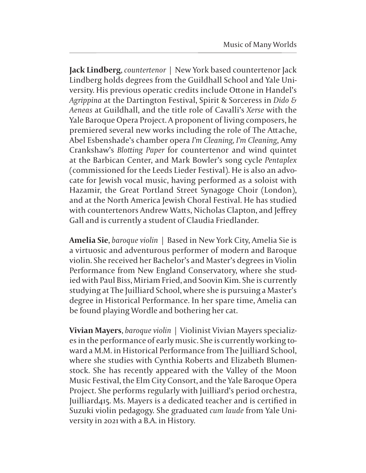**Jack Lindberg**, *countertenor* | New York based countertenor Jack Lindberg holds degrees from the Guildhall School and Yale University. His previous operatic credits include Ottone in Handel's *Agrippina* at the Dartington Festival, Spirit & Sorceress in *Dido & Aeneas* at Guildhall, and the title role of Cavalli's *Xerse* with the Yale Baroque Opera Project. A proponent of living composers, he premiered several new works including the role of The Attache, Abel Esbenshade's chamber opera *I'm Cleaning, I'm Cleaning*, Amy Crankshaw's *Blo\*ing Paper* for countertenor and wind quintet at the Barbican Center, and Mark Bowler's song cycle *Pentaplex* (commissioned for the Leeds Lieder Festival). He is also an advocate for Jewish vocal music, having performed as a soloist with Hazamir, the Great Portland Street Synagoge Choir (London), and at the North America Jewish Choral Festival. He has studied with countertenors Andrew Watts, Nicholas Clapton, and Jeffrey Gall and is currently a student of Claudia Friedlander.

**Amelia Sie**, *baroque violin* | Based in New York City, Amelia Sie is a virtuosic and adventurous performer of modern and Baroque violin. She received her Bachelor's and Master's degrees in Violin Performance from New England Conservatory, where she studied with Paul Biss, Miriam Fried, and Soovin Kim. She is currently studying at The Juilliard School, where she is pursuing a Master's degree in Historical Performance. In her spare time, Amelia can be found playing Wordle and bothering her cat.

**Vivian Mayers**, *baroque violin* | Violinist Vivian Mayers specializes in the performance of early music. She is currently working toward a M.M. in Historical Performance from The Juilliard School, where she studies with Cynthia Roberts and Elizabeth Blumenstock. She has recently appeared with the Valley of the Moon Music Festival, the Elm City Consort, and the Yale Baroque Opera Project. She performs regularly with Juilliard's period orchestra, Juilliard415. Ms. Mayers is a dedicated teacher and is certified in Suzuki violin pedagogy. She graduated *cum laude* from Yale University in 2021 with a B.A. in History.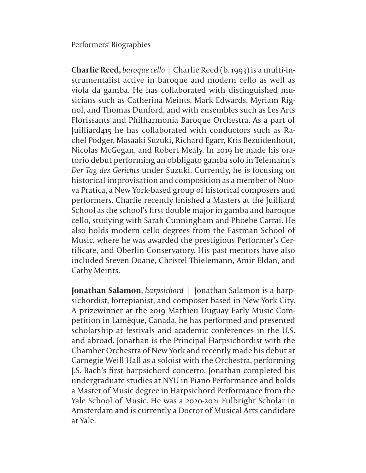**Charlie Reed,** *baroque cello* | Charlie Reed (b. 1993) is a multi-instrumentalist active in baroque and modern cello as well as viola da gamba. He has collaborated with distinguished musicians such as Catherina Meints, Mark Edwards, Myriam Rignol, and Thomas Dunford, and with ensembles such as Les Arts Florissants and Philharmonia Baroque Orchestra. As a part of Juilliard415 he has collaborated with conductors such as Rachel Podger, Masaaki Suzuki, Richard Egarr, Kris Bezuidenhout, Nicolas McGegan, and Robert Mealy. In 2019 he made his oratorio debut performing an obbligato gamba solo in Telemann's *Der Tag des Gerichts* under Suzuki. Currently, he is focusing on historical improvisation and composition as a member of Nuova Pratica, a New York-based group of historical composers and performers. Charlie recently finished a Masters at the Juilliard School as the school's first double major in gamba and baroque cello, studying with Sarah Cunningham and Phoebe Carrai. He also holds modern cello degrees from the Eastman School of Music, where he was awarded the prestigious Performer's Certificate, and Oberlin Conservatory. His past mentors have also included Steven Doane, Christel Thielemann, Amir Eldan, and Cathy Meints.

**Jonathan Salamon**, *harpsichord* | Jonathan Salamon is a harpsichordist, fortepianist, and composer based in New York City. A prizewinner at the 2019 Mathieu Duguay Early Music Competition in Lamèque, Canada, he has performed and presented scholarship at festivals and academic conferences in the U.S. and abroad. Jonathan is the Principal Harpsichordist with the Chamber Orchestra of New York and recently made his debut at Carnegie Weill Hall as a soloist with the Orchestra, performing J.S. Bach's first harpsichord concerto. Jonathan completed his undergraduate studies at NYU in Piano Performance and holds a Master of Music degree in Harpsichord Performance from the Yale School of Music. He was a 2020-2021 Fulbright Scholar in Amsterdam and is currently a Doctor of Musical Arts candidate at Yale.